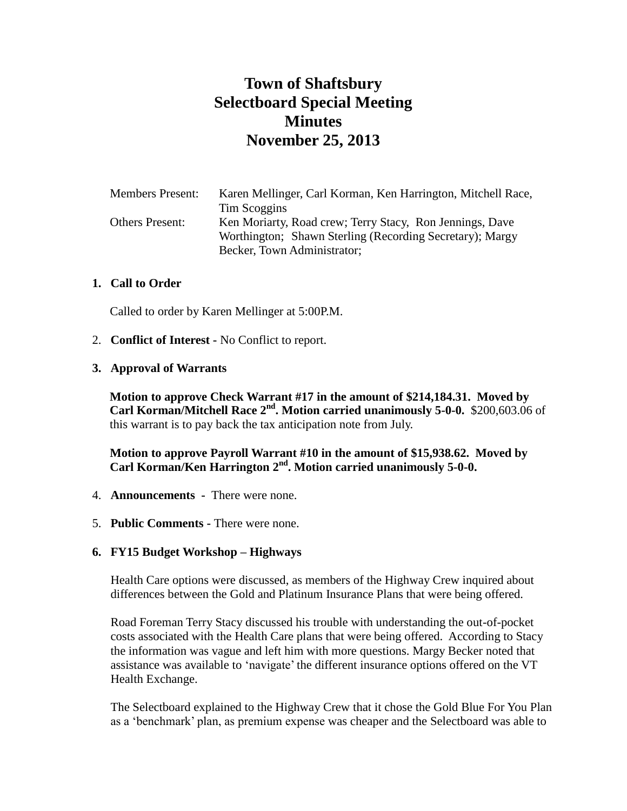# **Town of Shaftsbury Selectboard Special Meeting Minutes November 25, 2013**

| <b>Members Present:</b> | Karen Mellinger, Carl Korman, Ken Harrington, Mitchell Race, |
|-------------------------|--------------------------------------------------------------|
|                         | Tim Scoggins                                                 |
| <b>Others Present:</b>  | Ken Moriarty, Road crew; Terry Stacy, Ron Jennings, Dave     |
|                         | Worthington; Shawn Sterling (Recording Secretary); Margy     |
|                         | Becker, Town Administrator;                                  |

#### **1. Call to Order**

Called to order by Karen Mellinger at 5:00P.M.

- 2. **Conflict of Interest -** No Conflict to report.
- **3. Approval of Warrants**

**Motion to approve Check Warrant #17 in the amount of \$214,184.31. Moved by Carl Korman/Mitchell Race 2<sup>nd</sup>. Motion carried unanimously 5-0-0.** \$200,603.06 of this warrant is to pay back the tax anticipation note from July.

**Motion to approve Payroll Warrant #10 in the amount of \$15,938.62. Moved by Carl Korman/Ken Harrington 2nd. Motion carried unanimously 5-0-0.**

- 4. **Announcements -** There were none.
- 5. **Public Comments -** There were none.

#### **6. FY15 Budget Workshop – Highways**

Health Care options were discussed, as members of the Highway Crew inquired about differences between the Gold and Platinum Insurance Plans that were being offered.

Road Foreman Terry Stacy discussed his trouble with understanding the out-of-pocket costs associated with the Health Care plans that were being offered. According to Stacy the information was vague and left him with more questions. Margy Becker noted that assistance was available to 'navigate' the different insurance options offered on the VT Health Exchange.

The Selectboard explained to the Highway Crew that it chose the Gold Blue For You Plan as a 'benchmark' plan, as premium expense was cheaper and the Selectboard was able to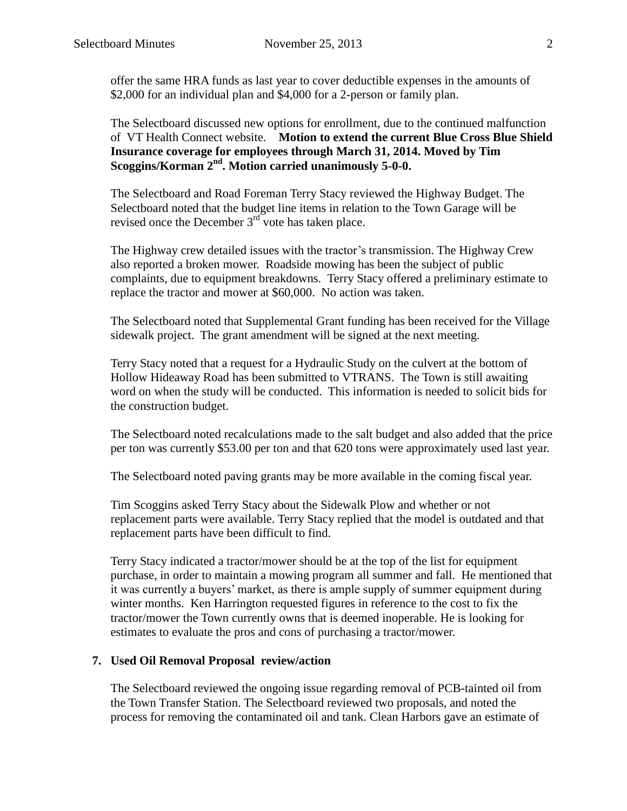offer the same HRA funds as last year to cover deductible expenses in the amounts of \$2,000 for an individual plan and \$4,000 for a 2-person or family plan.

The Selectboard discussed new options for enrollment, due to the continued malfunction of VT Health Connect website. **Motion to extend the current Blue Cross Blue Shield Insurance coverage for employees through March 31, 2014. Moved by Tim Scoggins/Korman 2nd. Motion carried unanimously 5-0-0.**

The Selectboard and Road Foreman Terry Stacy reviewed the Highway Budget. The Selectboard noted that the budget line items in relation to the Town Garage will be revised once the December  $3<sup>rd</sup>$  vote has taken place.

The Highway crew detailed issues with the tractor's transmission. The Highway Crew also reported a broken mower. Roadside mowing has been the subject of public complaints, due to equipment breakdowns. Terry Stacy offered a preliminary estimate to replace the tractor and mower at \$60,000. No action was taken.

The Selectboard noted that Supplemental Grant funding has been received for the Village sidewalk project. The grant amendment will be signed at the next meeting.

Terry Stacy noted that a request for a Hydraulic Study on the culvert at the bottom of Hollow Hideaway Road has been submitted to VTRANS. The Town is still awaiting word on when the study will be conducted. This information is needed to solicit bids for the construction budget.

The Selectboard noted recalculations made to the salt budget and also added that the price per ton was currently \$53.00 per ton and that 620 tons were approximately used last year.

The Selectboard noted paving grants may be more available in the coming fiscal year.

Tim Scoggins asked Terry Stacy about the Sidewalk Plow and whether or not replacement parts were available. Terry Stacy replied that the model is outdated and that replacement parts have been difficult to find.

Terry Stacy indicated a tractor/mower should be at the top of the list for equipment purchase, in order to maintain a mowing program all summer and fall. He mentioned that it was currently a buyers' market, as there is ample supply of summer equipment during winter months. Ken Harrington requested figures in reference to the cost to fix the tractor/mower the Town currently owns that is deemed inoperable. He is looking for estimates to evaluate the pros and cons of purchasing a tractor/mower.

#### **7. Used Oil Removal Proposal review/action**

The Selectboard reviewed the ongoing issue regarding removal of PCB-tainted oil from the Town Transfer Station. The Selectboard reviewed two proposals, and noted the process for removing the contaminated oil and tank. Clean Harbors gave an estimate of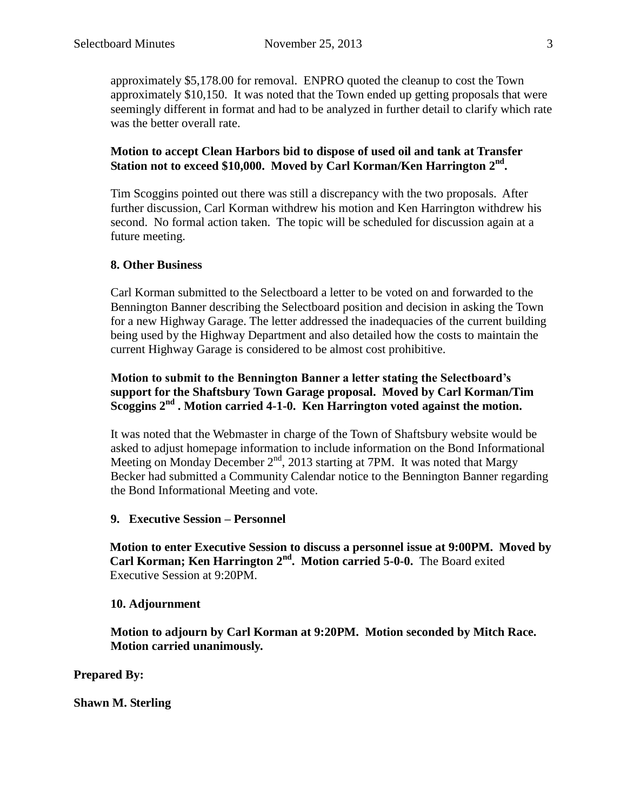approximately \$5,178.00 for removal. ENPRO quoted the cleanup to cost the Town approximately \$10,150. It was noted that the Town ended up getting proposals that were seemingly different in format and had to be analyzed in further detail to clarify which rate was the better overall rate.

## **Motion to accept Clean Harbors bid to dispose of used oil and tank at Transfer Station not to exceed \$10,000. Moved by Carl Korman/Ken Harrington 2nd .**

Tim Scoggins pointed out there was still a discrepancy with the two proposals. After further discussion, Carl Korman withdrew his motion and Ken Harrington withdrew his second. No formal action taken. The topic will be scheduled for discussion again at a future meeting.

## **8. Other Business**

Carl Korman submitted to the Selectboard a letter to be voted on and forwarded to the Bennington Banner describing the Selectboard position and decision in asking the Town for a new Highway Garage. The letter addressed the inadequacies of the current building being used by the Highway Department and also detailed how the costs to maintain the current Highway Garage is considered to be almost cost prohibitive.

## **Motion to submit to the Bennington Banner a letter stating the Selectboard's support for the Shaftsbury Town Garage proposal. Moved by Carl Korman/Tim Scoggins 2nd . Motion carried 4-1-0. Ken Harrington voted against the motion.**

It was noted that the Webmaster in charge of the Town of Shaftsbury website would be asked to adjust homepage information to include information on the Bond Informational Meeting on Monday December  $2<sup>nd</sup>$ , 2013 starting at 7PM. It was noted that Margy Becker had submitted a Community Calendar notice to the Bennington Banner regarding the Bond Informational Meeting and vote.

## **9. Executive Session – Personnel**

**Motion to enter Executive Session to discuss a personnel issue at 9:00PM. Moved by Carl Korman; Ken Harrington 2nd. Motion carried 5-0-0.** The Board exited Executive Session at 9:20PM.

## **10. Adjournment**

**Motion to adjourn by Carl Korman at 9:20PM. Motion seconded by Mitch Race. Motion carried unanimously.**

**Prepared By:**

**Shawn M. Sterling**